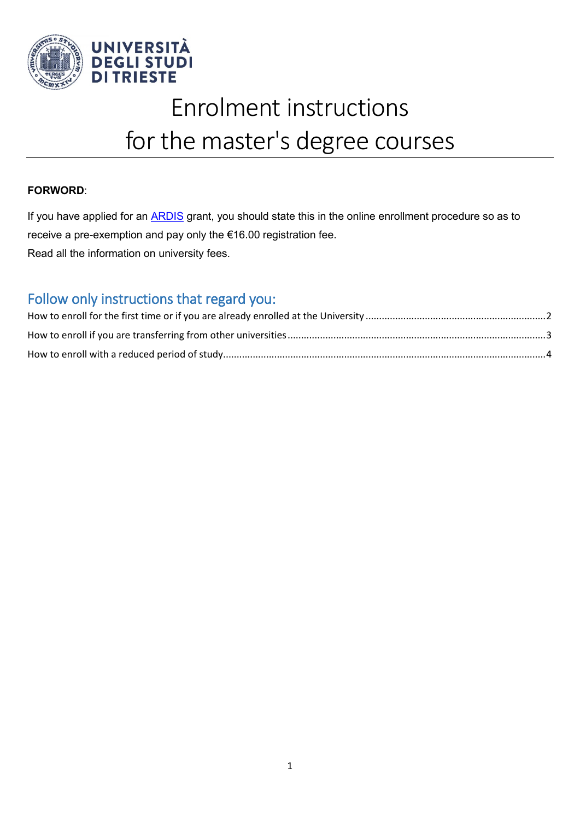

# Enrolment instructions for the master's degree courses

### **FORWORD**:

If you have applied for an **ARDIS** grant, you should state this in the online enrollment procedure so as to receive a pre-exemption and pay only the €16.00 registration fee. Read all the information on university fees.

### Follow only instructions that regard you: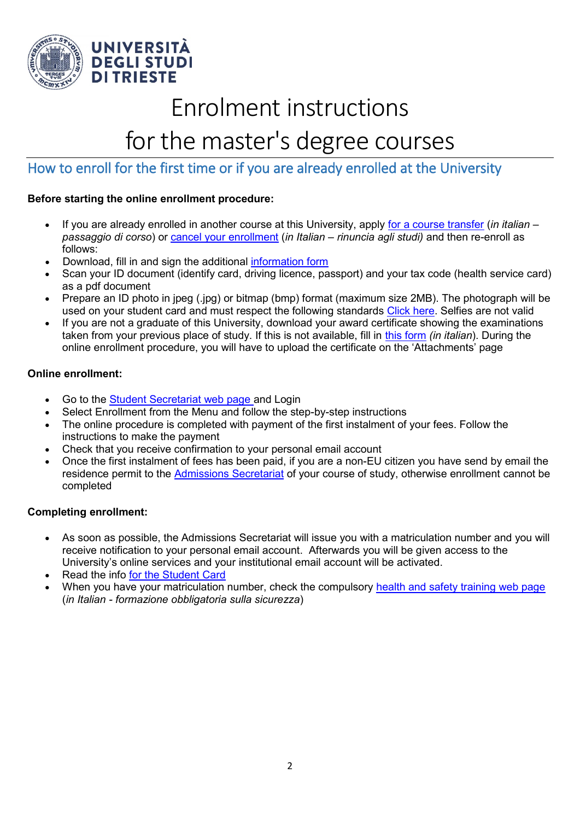

## Enrolment instructions

## for the master's degree courses

### <span id="page-1-0"></span>How to enroll for the first time or if you are already enrolled at the University

#### **Before starting the online enrollment procedure:**

- If you are already enrolled in another course at this University, apply [for a course transfer](http://www.units.it/studenti/segreteria-studenti/cambiare-corso-di-studi-o-universita) (*in italian – passaggio di corso*) or [cancel your enrollment](http://www.units.it/segreteria-studenti/sospendere-interrompere-gli-studi) (*in Italian – rinuncia agli studi)* and then re-enroll as follows:
- Download, fill in and sign the additional [information form](https://corsi.units.it/sites/default/files/modulointegrativo_it_en.pdf)
- Scan your ID document (identify card, driving licence, passport) and your tax code (health service card) as a pdf document
- Prepare an ID photo in jpeg (.jpg) or bitmap (bmp) format (maximum size 2MB). The photograph will be used on your student card and must respect the following standards [Click here.](http://www.cartaidentita.interno.gov.it/caratteristiche-generali/) Selfies are not valid
- If you are not a graduate of this University, download your award certificate showing the examinations taken from your previous place of study. If this is not available, fill in [this form](https://corsi.units.it/sites/default/files/autocertpregressa-new.pdf) *(in italian*). During the online enrollment procedure, you will have to upload the certificate on the 'Attachments' page

#### **Online enrollment:**

- Go to the [Student Secretariat web page](https://esse3.units.it/Home.do;jsessionid=332C927B65E7959F824D37E9B084BCB1.esse3-units-prod-05?cod_lingua=eng) and Login
- Select Enrollment from the Menu and follow the step-by-step instructions
- The online procedure is completed with payment of the first instalment of your fees. Follow the instructions to make the payment
- Check that you receive confirmation to your personal email account
- Once the first instalment of fees has been paid, if you are a non-EU citizen you have send by email the residence permit to the **Admissions Secretariat** of your course of study, otherwise enrollment cannot be completed

### **Completing enrollment:**

- As soon as possible, the Admissions Secretariat will issue you with a matriculation number and you will receive notification to your personal email account. Afterwards you will be given access to the University's online services and your institutional email account will be activated.
- Read the info [for the Student Card](http://www.units.it/studenti/segreteria-studenti/rilascio-e-duplicato-della-student-card)
- When you have your matriculation number, check the compulsory [health and safety training web page](http://www2.units.it/prevenzione/formazione/studenti_corso.php) (*in Italian - formazione obbligatoria sulla sicurezza*)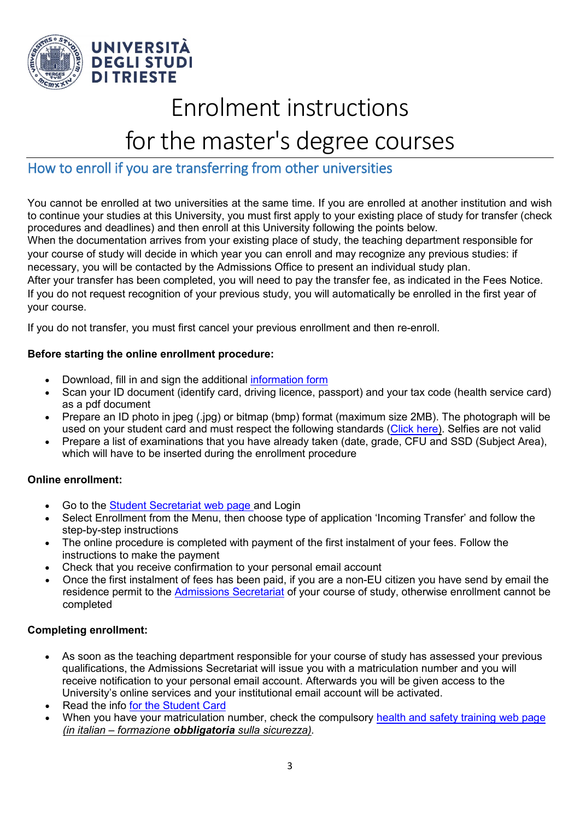

## Enrolment instructions

## for the master's degree courses

### <span id="page-2-0"></span>How to enroll if you are transferring from other universities

You cannot be enrolled at two universities at the same time. If you are enrolled at another institution and wish to continue your studies at this University, you must first apply to your existing place of study for transfer (check procedures and deadlines) and then enroll at this University following the points below.

When the documentation arrives from your existing place of study, the teaching department responsible for your course of study will decide in which year you can enroll and may recognize any previous studies: if necessary, you will be contacted by the Admissions Office to present an individual study plan.

After your transfer has been completed, you will need to pay the transfer fee, as indicated in the Fees Notice. If you do not request recognition of your previous study, you will automatically be enrolled in the first year of your course.

If you do not transfer, you must first cancel your previous enrollment and then re-enroll.

### **Before starting the online enrollment procedure:**

- Download, fill in and sign the additional [information form](https://corsi.units.it/sites/default/files/modulointegrativo_it_en.pdf)
- Scan your ID document (identify card, driving licence, passport) and your tax code (health service card) as a pdf document
- Prepare an ID photo in jpeg (.jpg) or bitmap (bmp) format (maximum size 2MB). The photograph will be used on your student card and must respect the following standards [\(Click here\)](http://www.cartaidentita.interno.gov.it/caratteristiche-generali/). Selfies are not valid
- Prepare a list of examinations that you have already taken (date, grade, CFU and SSD (Subject Area), which will have to be inserted during the enrollment procedure

### **Online enrollment:**

- Go to the [Student Secretariat web page](https://esse3.units.it/Home.do;jsessionid=332C927B65E7959F824D37E9B084BCB1.esse3-units-prod-05?cod_lingua=eng) and Login
- Select Enrollment from the Menu, then choose type of application 'Incoming Transfer' and follow the step-by-step instructions
- The online procedure is completed with payment of the first instalment of your fees. Follow the instructions to make the payment
- Check that you receive confirmation to your personal email account
- Once the first instalment of fees has been paid, if you are a non-EU citizen you have send by email the residence permit to the [Admissions Secretariat](https://www2.units.it/dida/contatti/) of your course of study, otherwise enrollment cannot be completed

### **Completing enrollment:**

- As soon as the teaching department responsible for your course of study has assessed your previous qualifications, the Admissions Secretariat will issue you with a matriculation number and you will receive notification to your personal email account. Afterwards you will be given access to the University's online services and your institutional email account will be activated.
- Read the info [for the Student Card](http://www.units.it/studenti/segreteria-studenti/rilascio-e-duplicato-della-student-card)
- When you have your matriculation number, check the compulsory [health and safety training web page](http://www2.units.it/prevenzione/formazione/studenti_corso.php) *(in italian – formazione obbligatoria sulla sicurezza).*